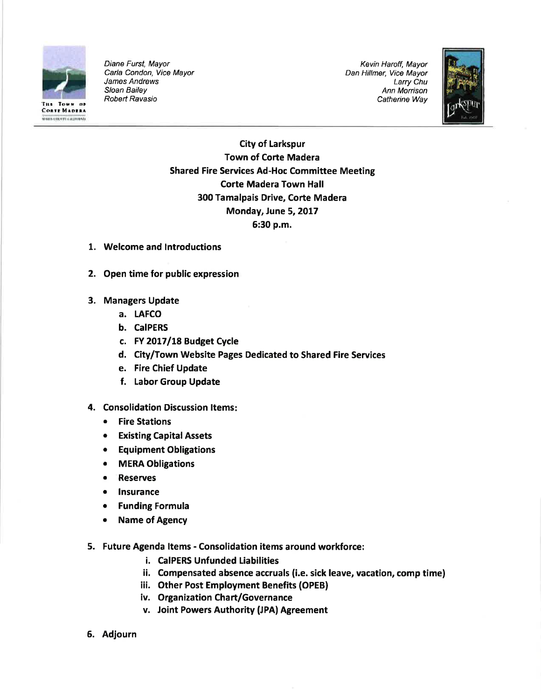

Diane Furst, Mayor Carla Condon, Vice Mayor James Andrews Sloan Bailey Robert Ravasio **Catherine Way is a contract of Catherine Way** Catherine Way is a structure of the contract of the contract of the contract of the contract of the contract of the contract of the contract of the contract of the contract of

Kevin Haroff, Mayor Dan Hillmer, Vice Mayor Larry Chu Ann Morrison



City of Larkspur Town of Corte Madera Shared Fire Services Ad-Hoc Committee Meeting Corte Madera Town Hall 300 Tamalpais Drive, Corte Madera Monday, June 5, 2017 6:30 p.m.

- 1. Welcome and lntroductions
- 2. Open time for public expression
- 3. Managers Update
	- a. LAFCO
	- b. CaIPERS
	- c. FY 2017/18 Budget Cycle
	- d. City/Town Website Pages Dedicated to Shared Fire Services
	- e. Fire Chief Update
	- f. Labor Group Update
- 4. Consolidation Discussion Items:
	- Fire Stations
	- **•** Existing Capital Assets
	- Equipment Obligations
	- o MERA Obligations
	- **Reserves**
	- **Insurance**
	- **Funding Formula**
	- Name of Agency
- 5. Future Agenda ltems Consolidation items around workforce:
	- i. CaIPERS Unfunded Liabilities
	- ii. Compensated absence accruals (i.e. sick leave, vacation, comp time)
	- iii. Other Post Employment Benefits (OPEB)
	- iv. Organization Chart/Governance
	- v. Joint Powers Authority (JPA) Agreement
- 6. Adjourn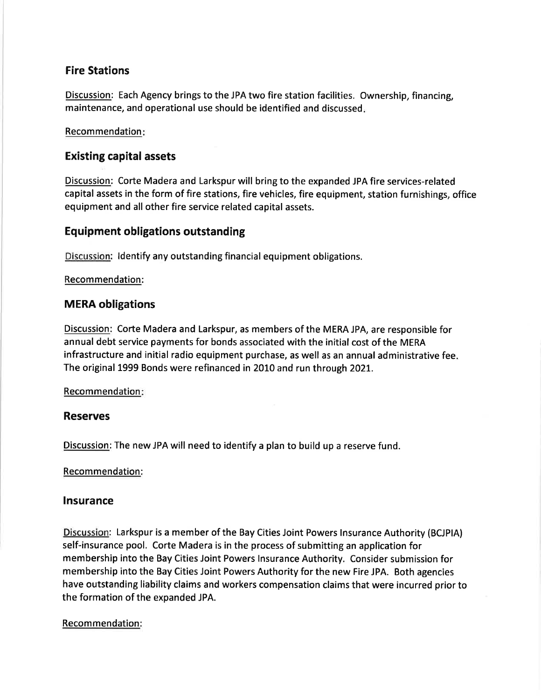# Fire Stations

Discussion: Each Agency brings to the JPA two fire station facilities. Ownership, financing, maintenance, and operational use should be identified and discussed

#### Recommendation

# Existing capital assets

Discussion: Corte Madera and Larkspur will bring to the expanded JPA fire services-related capital assets in the form of fire stations, fire vehicles, fire equipment, station furnishings, office equipment and all other fire service related capital assets.

# Equipment obligations outstanding

Discussion: ldentify any outstanding financial equipment obligations.

#### Recommendation:

## **MERA obligations**

Discussion: Corte Madera and Larkspur, as members of the MERA JPA, are responsible for annual debt service payments for bonds associated with the initial cost of the MERA infrastructure and initial radio equipment purchase, as well as an annual administrative fee The original 1999 Bonds were refinanced in 2010 and run through 202L.

## Recommendation

## Reserves

Discussion: The new JPA will need to identify a plan to build up a reserve fund.

## Recommendation:

## Insurance

Discussion: Larkspur is a member of the Bay Cities Joint Powers Insurance Authority (BCJPIA) self-insurance pool. Corte Madera is in the process of submitting an application for membership into the Bay Cities Joint Powers lnsurance Authority. Consider submission for membership into the Bay Cities Joint Powers Authority for the new Fire JPA. Both agencies have outstanding liability claims and workers compensation claims that were incurred prior to the formation of the expanded JPA.

## Recommendation: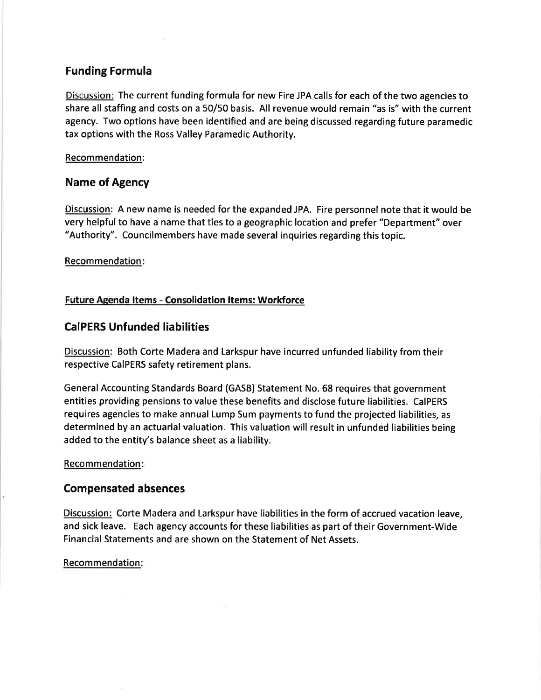## Funding Formula

Discussion: The current funding formula for new Fire JPA calls for each of the two agencies to share all staffing and costs on a 50/50 basis. All revenue would remain "as is" with the current agency. Two options have been identified and are being discussed regarding future paramedic tax options with the Ross Valley Paramedic Authority.

#### Recommendation:

# Name of Agency

Discussion: A new name is needed for the expanded JPA. Fire personnel note that it would be very helpful to have a name that ties to a geographic location and prefer "Department" over "Authority". Councilmembers have made several inquiries regarding this topic.

#### Recommendation

## Future Agenda ltems - Consolidation ltems: Workforce

# CaIPERS Unfunded liabilities

Discussion: Both Corte Madera and Larkspur have incurred unfunded liability from their respective CaIPERS safety retirement plans.

General Accounting Standards Board (GASB) Statement No. 68 requires that government entities providing pensions to value these benefits and disclose future liabilities. CaIPERS requires agencies to make annual Lump Sum payments to fund the projected liabilities, as determined by an actuarial valuation. This valuation will result in unfunded liabilities being added to the entity's balance sheet as a liability.

#### Recommendation

## Compensated absences

Discussion: Corte Madera and Larkspur have liabilities in the form of accrued vacation leave, and sick leave. Each agency accounts for these liabilities as part of their Government-Wide Financial Statements and are shown on the Statement of Net Assets.

#### Recommendation: